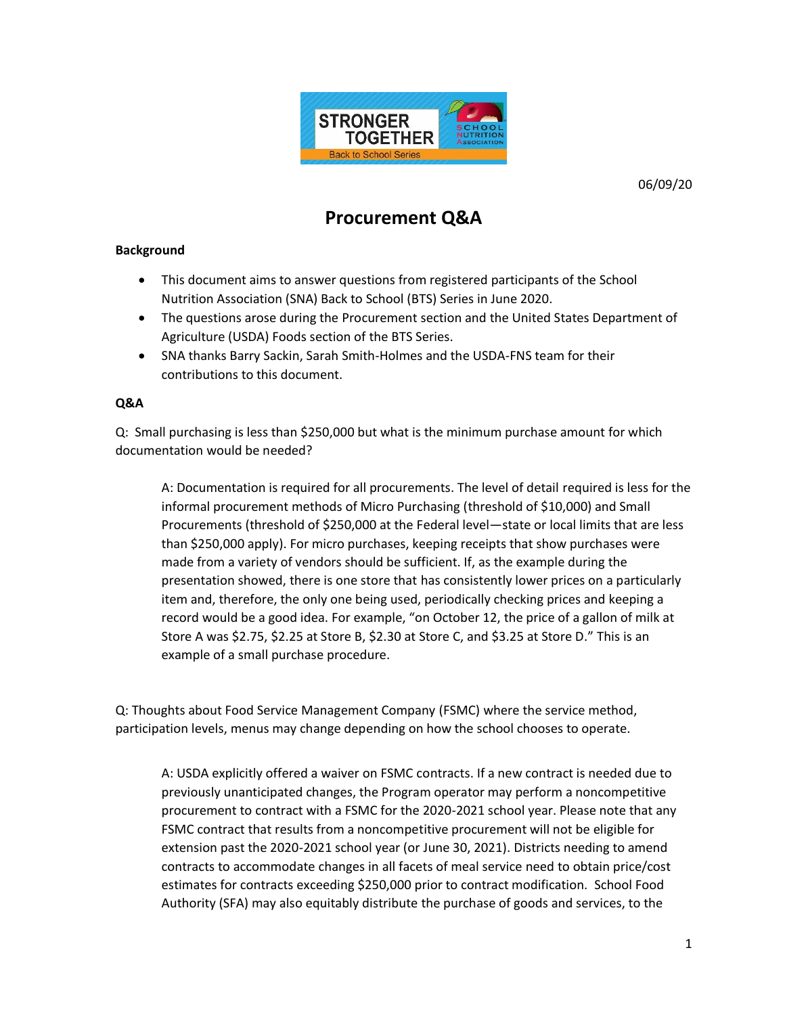

06/09/20

## **Procurement Q&A**

## **Background**

- This document aims to answer questions from registered participants of the School Nutrition Association (SNA) Back to School (BTS) Series in June 2020.
- The questions arose during the Procurement section and the United States Department of Agriculture (USDA) Foods section of the BTS Series.
- SNA thanks Barry Sackin, Sarah Smith-Holmes and the USDA-FNS team for their contributions to this document.

## **Q&A**

Q: Small purchasing is less than \$250,000 but what is the minimum purchase amount for which documentation would be needed?

A: Documentation is required for all procurements. The level of detail required is less for the informal procurement methods of Micro Purchasing (threshold of \$10,000) and Small Procurements (threshold of \$250,000 at the Federal level—state or local limits that are less than \$250,000 apply). For micro purchases, keeping receipts that show purchases were made from a variety of vendors should be sufficient. If, as the example during the presentation showed, there is one store that has consistently lower prices on a particularly item and, therefore, the only one being used, periodically checking prices and keeping a record would be a good idea. For example, "on October 12, the price of a gallon of milk at Store A was \$2.75, \$2.25 at Store B, \$2.30 at Store C, and \$3.25 at Store D." This is an example of a small purchase procedure.

Q: Thoughts about Food Service Management Company (FSMC) where the service method, participation levels, menus may change depending on how the school chooses to operate.

A: USDA explicitly offered a waiver on FSMC contracts. If a new contract is needed due to previously unanticipated changes, the Program operator may perform a noncompetitive procurement to contract with a FSMC for the 2020-2021 school year. Please note that any FSMC contract that results from a noncompetitive procurement will not be eligible for extension past the 2020-2021 school year (or June 30, 2021). Districts needing to amend contracts to accommodate changes in all facets of meal service need to obtain price/cost estimates for contracts exceeding \$250,000 prior to contract modification. School Food Authority (SFA) may also equitably distribute the purchase of goods and services, to the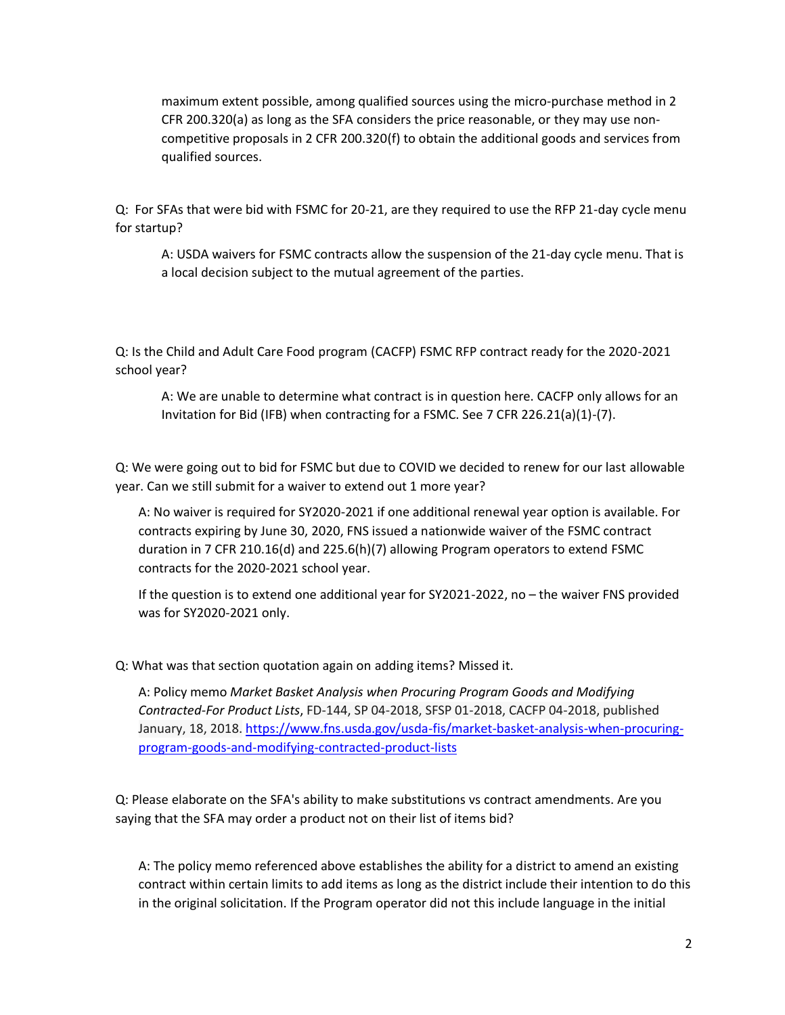maximum extent possible, among qualified sources using the micro-purchase method in 2 CFR 200.320(a) as long as the SFA considers the price reasonable, or they may use noncompetitive proposals in 2 CFR 200.320(f) to obtain the additional goods and services from qualified sources.

Q: For SFAs that were bid with FSMC for 20-21, are they required to use the RFP 21-day cycle menu for startup?

A: USDA waivers for FSMC contracts allow the suspension of the 21-day cycle menu. That is a local decision subject to the mutual agreement of the parties.

Q: Is the Child and Adult Care Food program (CACFP) FSMC RFP contract ready for the 2020-2021 school year?

A: We are unable to determine what contract is in question here. CACFP only allows for an Invitation for Bid (IFB) when contracting for a FSMC. See 7 CFR 226.21(a)(1)-(7).

Q: We were going out to bid for FSMC but due to COVID we decided to renew for our last allowable year. Can we still submit for a waiver to extend out 1 more year?

A: No waiver is required for SY2020-2021 if one additional renewal year option is available. For contracts expiring by June 30, 2020, FNS issued a nationwide waiver of the FSMC contract duration in 7 CFR 210.16(d) and 225.6(h)(7) allowing Program operators to extend FSMC contracts for the 2020-2021 school year.

If the question is to extend one additional year for SY2021-2022, no – the waiver FNS provided was for SY2020-2021 only.

Q: What was that section quotation again on adding items? Missed it.

A: Policy memo *Market Basket Analysis when Procuring Program Goods and Modifying Contracted-For Product Lists*, FD-144, SP 04-2018, SFSP 01-2018, CACFP 04-2018, published January, 18, 2018. [https://www.fns.usda.gov/usda-fis/market-basket-analysis-when-procuring](https://www.fns.usda.gov/usda-fis/market-basket-analysis-when-procuring-program-goods-and-modifying-contracted-product-lists)[program-goods-and-modifying-contracted-product-lists](https://www.fns.usda.gov/usda-fis/market-basket-analysis-when-procuring-program-goods-and-modifying-contracted-product-lists)

Q: Please elaborate on the SFA's ability to make substitutions vs contract amendments. Are you saying that the SFA may order a product not on their list of items bid?

A: The policy memo referenced above establishes the ability for a district to amend an existing contract within certain limits to add items as long as the district include their intention to do this in the original solicitation. If the Program operator did not this include language in the initial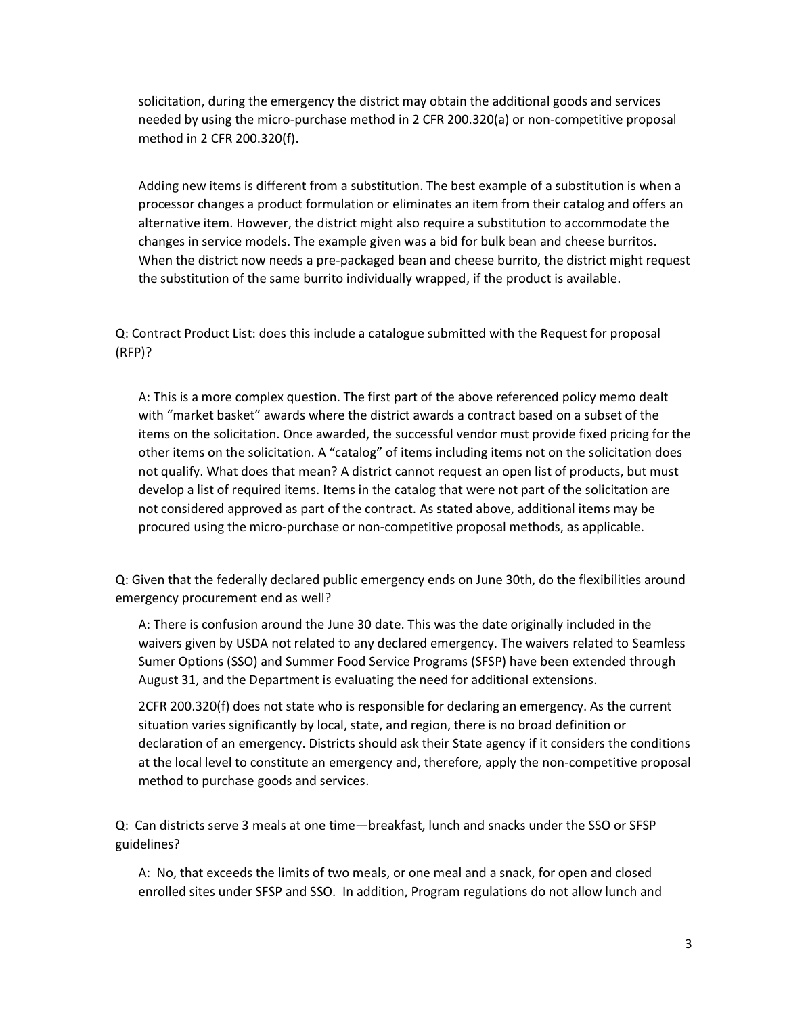solicitation, during the emergency the district may obtain the additional goods and services needed by using the micro-purchase method in 2 CFR 200.320(a) or non-competitive proposal method in 2 CFR 200.320(f).

Adding new items is different from a substitution. The best example of a substitution is when a processor changes a product formulation or eliminates an item from their catalog and offers an alternative item. However, the district might also require a substitution to accommodate the changes in service models. The example given was a bid for bulk bean and cheese burritos. When the district now needs a pre-packaged bean and cheese burrito, the district might request the substitution of the same burrito individually wrapped, if the product is available.

Q: Contract Product List: does this include a catalogue submitted with the Request for proposal (RFP)?

A: This is a more complex question. The first part of the above referenced policy memo dealt with "market basket" awards where the district awards a contract based on a subset of the items on the solicitation. Once awarded, the successful vendor must provide fixed pricing for the other items on the solicitation. A "catalog" of items including items not on the solicitation does not qualify. What does that mean? A district cannot request an open list of products, but must develop a list of required items. Items in the catalog that were not part of the solicitation are not considered approved as part of the contract. As stated above, additional items may be procured using the micro-purchase or non-competitive proposal methods, as applicable.

Q: Given that the federally declared public emergency ends on June 30th, do the flexibilities around emergency procurement end as well?

A: There is confusion around the June 30 date. This was the date originally included in the waivers given by USDA not related to any declared emergency. The waivers related to Seamless Sumer Options (SSO) and Summer Food Service Programs (SFSP) have been extended through August 31, and the Department is evaluating the need for additional extensions.

2CFR 200.320(f) does not state who is responsible for declaring an emergency. As the current situation varies significantly by local, state, and region, there is no broad definition or declaration of an emergency. Districts should ask their State agency if it considers the conditions at the local level to constitute an emergency and, therefore, apply the non-competitive proposal method to purchase goods and services.

Q: Can districts serve 3 meals at one time—breakfast, lunch and snacks under the SSO or SFSP guidelines?

A: No, that exceeds the limits of two meals, or one meal and a snack, for open and closed enrolled sites under SFSP and SSO. In addition, Program regulations do not allow lunch and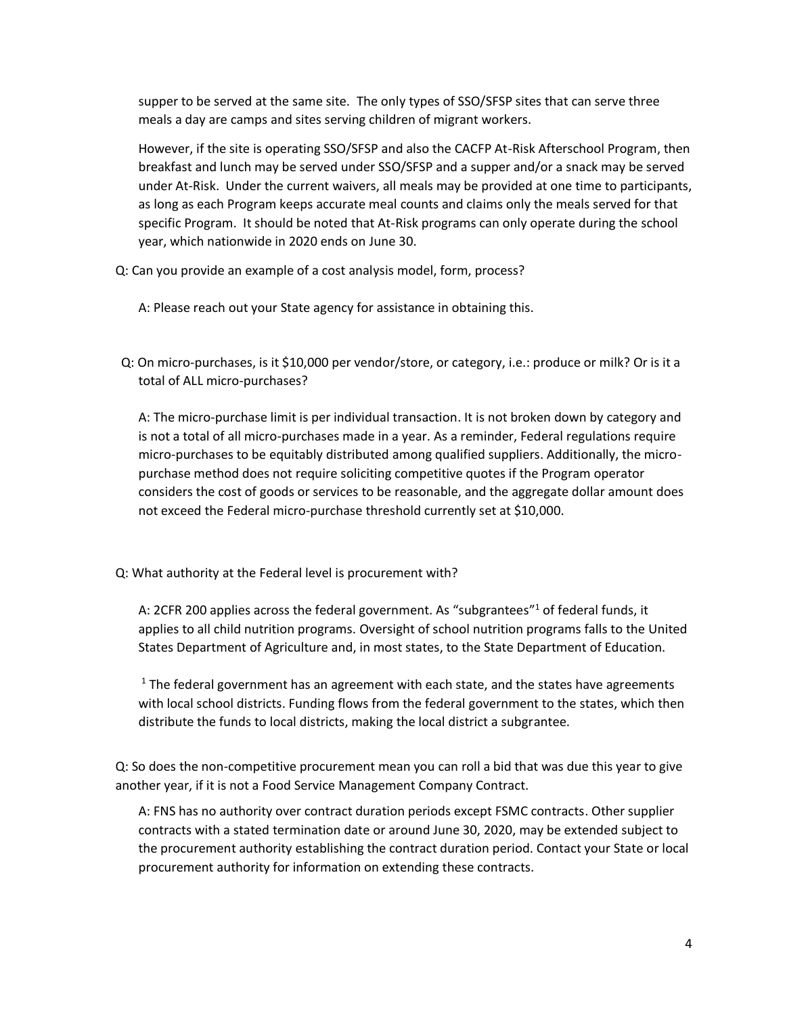supper to be served at the same site. The only types of SSO/SFSP sites that can serve three meals a day are camps and sites serving children of migrant workers.

However, if the site is operating SSO/SFSP and also the CACFP At-Risk Afterschool Program, then breakfast and lunch may be served under SSO/SFSP and a supper and/or a snack may be served under At-Risk. Under the current waivers, all meals may be provided at one time to participants, as long as each Program keeps accurate meal counts and claims only the meals served for that specific Program. It should be noted that At-Risk programs can only operate during the school year, which nationwide in 2020 ends on June 30.

Q: Can you provide an example of a cost analysis model, form, process?

A: Please reach out your State agency for assistance in obtaining this.

Q: On micro-purchases, is it \$10,000 per vendor/store, or category, i.e.: produce or milk? Or is it a total of ALL micro-purchases?

A: The micro-purchase limit is per individual transaction. It is not broken down by category and is not a total of all micro-purchases made in a year. As a reminder, Federal regulations require micro-purchases to be equitably distributed among qualified suppliers. Additionally, the micropurchase method does not require soliciting competitive quotes if the Program operator considers the cost of goods or services to be reasonable, and the aggregate dollar amount does not exceed the Federal micro-purchase threshold currently set at \$10,000.

Q: What authority at the Federal level is procurement with?

A: 2CFR 200 applies across the federal government. As "subgrantees"<sup>1</sup> of federal funds, it applies to all child nutrition programs. Oversight of school nutrition programs falls to the United States Department of Agriculture and, in most states, to the State Department of Education.

 $<sup>1</sup>$  The federal government has an agreement with each state, and the states have agreements</sup> with local school districts. Funding flows from the federal government to the states, which then distribute the funds to local districts, making the local district a subgrantee.

Q: So does the non-competitive procurement mean you can roll a bid that was due this year to give another year, if it is not a Food Service Management Company Contract.

A: FNS has no authority over contract duration periods except FSMC contracts. Other supplier contracts with a stated termination date or around June 30, 2020, may be extended subject to the procurement authority establishing the contract duration period. Contact your State or local procurement authority for information on extending these contracts.